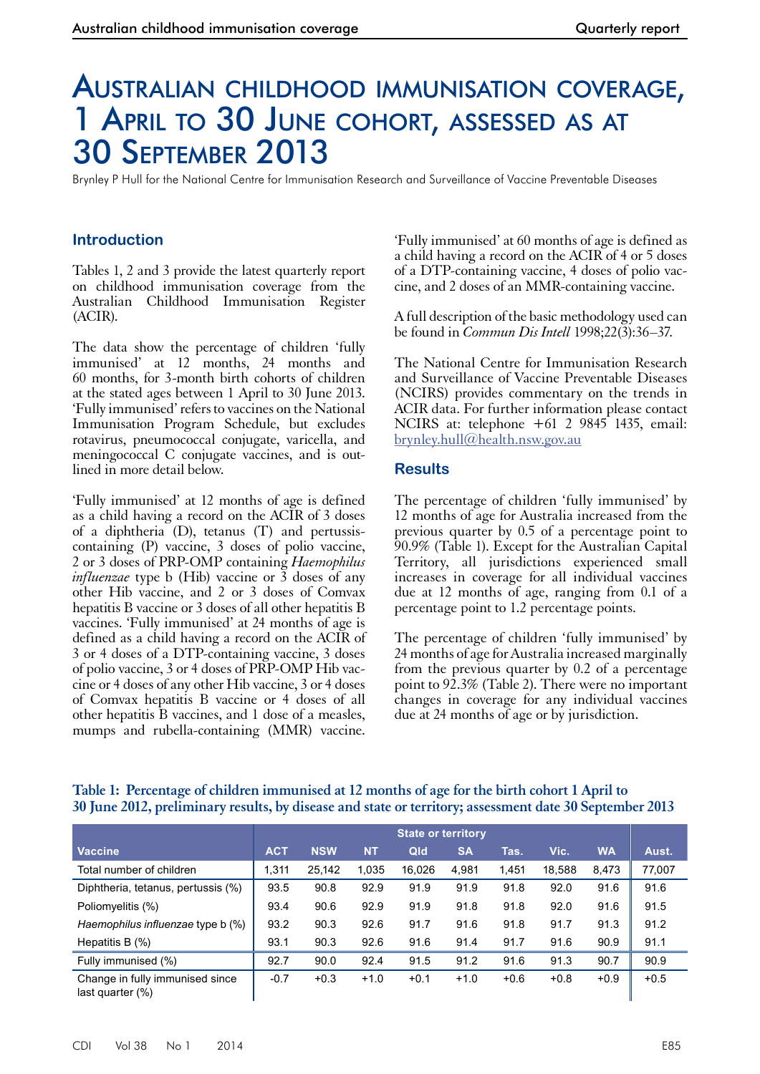# Australian childhood immunisation coverage, 1 April to 30 June cohort, assessed as at 30 September 2013

Brynley P Hull for the National Centre for Immunisation Research and Surveillance of Vaccine Preventable Diseases

## **Introduction**

Tables 1, 2 and 3 provide the latest quarterly report on childhood immunisation coverage from the Australian Childhood Immunisation Register (ACIR).

The data show the percentage of children 'fully immunised' at 12 months, 24 months and 60 months, for 3-month birth cohorts of children at the stated ages between 1 April to 30 June 2013. 'Fully immunised' refers to vaccines on the National Immunisation Program Schedule, but excludes rotavirus, pneumococcal conjugate, varicella, and meningococcal C conjugate vaccines, and is outlined in more detail below.

'Fully immunised' at 12 months of age is defined as a child having a record on the ACIR of 3 doses of a diphtheria (D), tetanus (T) and pertussiscontaining (P) vaccine, 3 doses of polio vaccine, 2 or 3 doses of PRP-OMP containing *Haemophilus influenzae* type b (Hib) vaccine or  $\overline{3}$  doses of any other Hib vaccine, and 2 or 3 doses of Comvax hepatitis B vaccine or 3 doses of all other hepatitis B vaccines. 'Fully immunised' at 24 months of age is defined as a child having a record on the ACIR of 3 or 4 doses of a DTP-containing vaccine, 3 doses of polio vaccine, 3 or 4 doses of PRP-OMP Hib vac- cine or 4 doses of any other Hib vaccine, 3 or 4 doses of Comvax hepatitis B vaccine or 4 doses of all other hepatitis B vaccines, and 1 dose of a measles, mumps and rubella-containing (MMR) vaccine.

'Fully immunised' at 60 months of age is defined as a child having a record on the ACIR of 4 or 5 doses of a DTP-containing vaccine, 4 doses of polio vaccine, and 2 doses of an MMR-containing vaccine.

A full description of the basic methodology used can be found in *Commun Dis Intell* 1998;22(3):36–37.

The National Centre for Immunisation Research and Surveillance of Vaccine Preventable Diseases (NCIRS) provides commentary on the trends in ACIR data. For further information please contact NCIRS at: telephone +61 2 9845 1435, email: [brynley.hull@health.nsw.gov.au](mailto:brynley.hull@health.nsw.gov.au)

#### **Results**

The percentage of children 'fully immunised' by 12 months of age for Australia increased from the previous quarter by 0.5 of a percentage point to 90.9% (Table 1). Except for the Australian Capital Territory, all jurisdictions experienced small increases in coverage for all individual vaccines due at 12 months of age, ranging from 0.1 of a percentage point to 1.2 percentage points.

The percentage of children 'fully immunised' by 24months of age for Australia increased marginally from the previous quarter by 0.2 of a percentage point to 92.3% (Table 2). There were no important changes in coverage for any individual vaccines due at 24 months of age or by jurisdiction.

|                                                        | <b>State or territory</b> |            |           |        |           |        |        |           |        |
|--------------------------------------------------------|---------------------------|------------|-----------|--------|-----------|--------|--------|-----------|--------|
| <b>Vaccine</b>                                         | <b>ACT</b>                | <b>NSW</b> | <b>NT</b> | Qld    | <b>SA</b> | Tas.   | Vic.   | <b>WA</b> | Aust.  |
| Total number of children                               | 1.311                     | 25.142     | 1.035     | 16.026 | 4,981     | 1,451  | 18,588 | 8,473     | 77,007 |
| Diphtheria, tetanus, pertussis (%)                     | 93.5                      | 90.8       | 92.9      | 91.9   | 91.9      | 91.8   | 92.0   | 91.6      | 91.6   |
| Poliomyelitis (%)                                      | 93.4                      | 90.6       | 92.9      | 91.9   | 91.8      | 91.8   | 92.0   | 91.6      | 91.5   |
| Haemophilus influenzae type b (%)                      | 93.2                      | 90.3       | 92.6      | 91.7   | 91.6      | 91.8   | 91.7   | 91.3      | 91.2   |
| Hepatitis B $(\%)$                                     | 93.1                      | 90.3       | 92.6      | 91.6   | 91.4      | 91.7   | 91.6   | 90.9      | 91.1   |
| Fully immunised (%)                                    | 92.7                      | 90.0       | 92.4      | 91.5   | 91.2      | 91.6   | 91.3   | 90.7      | 90.9   |
| Change in fully immunised since<br>last quarter $(\%)$ | $-0.7$                    | $+0.3$     | $+1.0$    | $+0.1$ | $+1.0$    | $+0.6$ | $+0.8$ | $+0.9$    | $+0.5$ |

## **Table 1: Percentage of children immunised at 12 months of age for the birth cohort 1 April to 30 June 2012, preliminary results, by disease and state or territory; assessment date 30 September 2013**